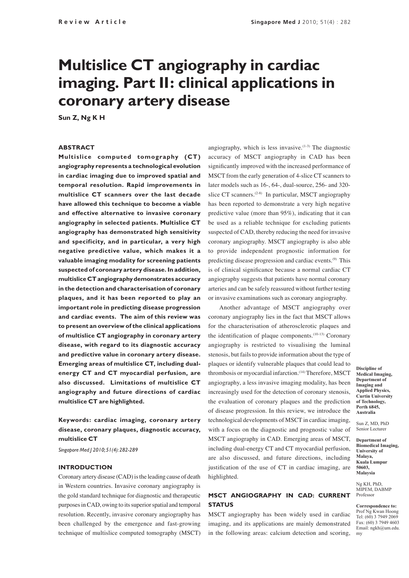# **Multislice CT angiography in cardiac imaging. Part II: clinical applications in coronary artery disease**

**Sun Z, Ng K H**

## **ABSTRACT**

**Multislice computed tomography (CT) angiography represents a technological evolution in cardiac imaging due to improved spatial and temporal resolution. Rapid improvements in multislice CT scanners over the last decade have allowed this technique to become a viable and effective alternative to invasive coronary angiography in selected patients. Multislice CT angiography has demonstrated high sensitivity and specificity, and in particular, a very high negative predictive value, which makes it a valuable imaging modality for screening patients suspected of coronary artery disease. In addition, multislice CT angiography demonstrates accuracy in the detection and characterisation of coronary plaques, and it has been reported to play an important role in predicting disease progression and cardiac events. The aim of this review was to present an overview of the clinical applications of multislice CT angiography in coronary artery disease, with regard to its diagnostic accuracy and predictive value in coronary artery disease. Emerging areas of multislice CT, including dualenergy CT and CT myocardial perfusion, are also discussed. Limitations of multislice CT angiography and future directions of cardiac multislice CT are highlighted.**

**Keywords: cardiac imaging, coronary artery disease, coronary plaques, diagnostic accuracy, multislice CT**

*Singapore Med J 2010; 51(4): 282-289*

#### **INTRODUCTION**

Coronary artery disease (CAD) is the leading cause of death in Western countries. Invasive coronary angiography is the gold standard technique for diagnostic and therapeutic purposes in CAD, owing to its superior spatial and temporal resolution. Recently, invasive coronary angiography has been challenged by the emergence and fast-growing technique of multislice computed tomography (MSCT)

angiography, which is less invasive. $(1-3)$  The diagnostic accuracy of MSCT angiography in CAD has been significantly improved with the increased performance of MSCT from the early generation of 4-slice CT scanners to later models such as 16-, 64-, dual-source, 256- and 320 slice CT scanners. $(2-8)$  In particular, MSCT angiography has been reported to demonstrate a very high negative predictive value (more than 95%), indicating that it can be used as a reliable technique for excluding patients suspected of CAD, thereby reducing the need for invasive coronary angiography. MSCT angiography is also able to provide independent prognostic information for predicting disease progression and cardiac events.(9) This is of clinical significance because a normal cardiac CT angiography suggests that patients have normal coronary arteries and can be safely reassured without further testing or invasive examinations such as coronary angiography.

Another advantage of MSCT angiography over coronary angiography lies in the fact that MSCT allows for the characterisation of atherosclerotic plaques and the identification of plaque components.<sup>(10-13)</sup> Coronary angiography is restricted to visualising the luminal stenosis, but fails to provide information about the type of plaques or identify vulnerable plaques that could lead to thrombosis or myocardial infarction.<sup>(14)</sup> Therefore, MSCT angiography, a less invasive imaging modality, has been increasingly used for the detection of coronary stenosis, the evaluation of coronary plaques and the prediction of disease progression. In this review, we introduce the technological developments of MSCT in cardiac imaging, with a focus on the diagnostic and prognostic value of MSCT angiography in CAD. Emerging areas of MSCT, including dual-energy CT and CT myocardial perfusion, are also discussed, and future directions, including justification of the use of CT in cardiac imaging, are highlighted.

## **MSCT ANGIOGRAPHY IN CAD: CURRENT STATUS**

MSCT angiography has been widely used in cardiac imaging, and its applications are mainly demonstrated in the following areas: calcium detection and scoring,

**Discipline of Medical Imaging, Department of Imaging and Applied Physics, Curtin University of Technology, Perth 6845, Australia**

Sun Z, MD, PhD Senior Lecturer

**Department of Biomedical Imaging, University of Malaya, Kuala Lumpur 50603, Malaysia** 

Ng KH, PhD, MIPEM, DABMP Professor

**Correspondence to:**  Prof Ng Kwan Hoong Tel: (60) 3 7949 2069 Fax: (60) 3 7949 4603 Email: ngkh@um.edu. my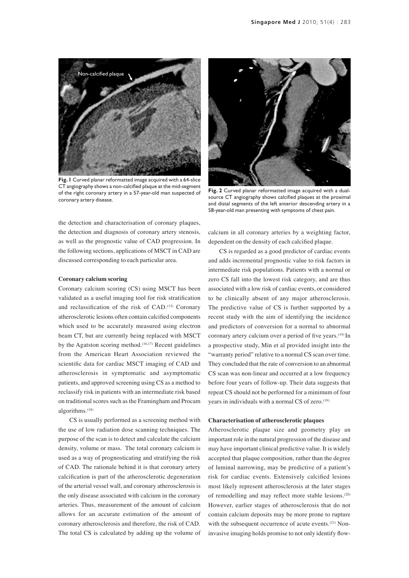

**Fig. 1** Curved planar reformatted image acquired with a 64-slice CT angiography shows a non-calcified plaque at the mid-segment of the right coronary artery in a 57-year-old man suspected of coronary artery disease.

the detection and characterisation of coronary plaques, the detection and diagnosis of coronary artery stenosis, as well as the prognostic value of CAD progression. In the following sections, applications of MSCT in CAD are discussed corresponding to each particular area.

#### **Coronary calcium scoring**

Coronary calcium scoring (CS) using MSCT has been validated as a useful imaging tool for risk stratification and reclassification of the risk of CAD.(15) Coronary atherosclerotic lesions often contain calcified components which used to be accurately measured using electron beam CT, but are currently being replaced with MSCT by the Agatston scoring method.<sup> $(16,17)$ </sup> Recent guidelines from the American Heart Association reviewed the scientific data for cardiac MSCT imaging of CAD and atherosclerosis in symptomatic and asymptomatic patients, and approved screening using CS as a method to reclassify risk in patients with an intermediate risk based on traditional scores such as the Framingham and Procam algorithms.<sup>(18)</sup>

CS is usually performed as a screening method with the use of low radiation dose scanning techniques. The purpose of the scan is to detect and calculate the calcium density, volume or mass. The total coronary calcium is used as a way of prognosticating and stratifying the risk of CAD. The rationale behind it is that coronary artery calcification is part of the atherosclerotic degeneration of the arterial vessel wall, and coronary atherosclerosis is the only disease associated with calcium in the coronary arteries. Thus, measurement of the amount of calcium allows for an accurate estimation of the amount of coronary atherosclerosis and therefore, the risk of CAD. The total CS is calculated by adding up the volume of



**Fig. 2** Curved planar reformatted image acquired with a dualsource CT angiography shows calcified plaques at the proximal and distal segments of the left anterior descending artery in a 58-year-old man presenting with symptoms of chest pain.

calcium in all coronary arteries by a weighting factor, dependent on the density of each calcified plaque.

CS is regarded as a good predictor of cardiac events and adds incremental prognostic value to risk factors in intermediate risk populations. Patients with a normal or zero CS fall into the lowest risk category, and are thus associated with a low risk of cardiac events, or considered to be clinically absent of any major atherosclerosis. The predictive value of CS is further supported by a recent study with the aim of identifying the incidence and predictors of conversion for a normal to abnormal coronary artery calcium over a period of five years.<sup>(19)</sup> In a prospective study, Min et al provided insight into the "warranty period" relative to a normal CS scan over time. They concluded that the rate of conversion to an abnormal CS scan was non-linear and occurred at a low frequency before four years of follow-up. Their data suggests that repeat CS should not be performed for a minimum of four years in individuals with a normal CS of zero.<sup>(19)</sup>

#### **Characterisation of atherosclerotic plaques**

Atherosclerotic plaque size and geometry play an important role in the natural progression of the disease and may have important clinical predictive value. It is widely accepted that plaque composition, rather than the degree of luminal narrowing, may be predictive of a patient's risk for cardiac events. Extensively calcified lesions most likely represent atherosclerosis at the later stages of remodelling and may reflect more stable lesions.(20) However, earlier stages of atherosclerosis that do not contain calcium deposits may be more prone to rupture with the subsequent occurrence of acute events.<sup>(21)</sup> Noninvasive imaging holds promise to not only identify flow-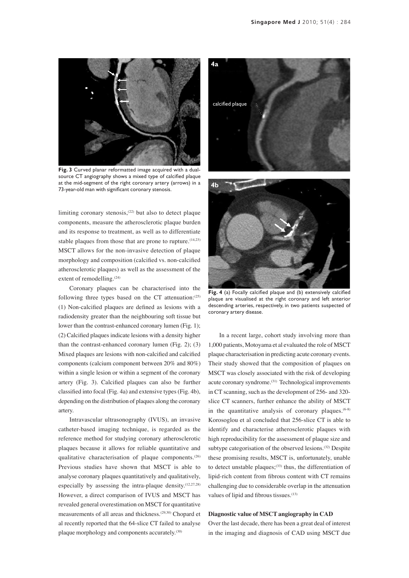

**Fig. 3** Curved planar reformatted image acquired with a dualsource CT angiography shows a mixed type of calcified plaque at the mid-segment of the right coronary artery (arrows) in a 73-year-old man with significant coronary stenosis.

limiting coronary stenosis,(22) but also to detect plaque components, measure the atherosclerotic plaque burden and its response to treatment, as well as to differentiate stable plaques from those that are prone to rupture.<sup>(14,23)</sup> MSCT allows for the non-invasive detection of plaque morphology and composition (calcified vs. non-calcified atherosclerotic plaques) as well as the assessment of the extent of remodelling.<sup>(24)</sup>

Coronary plaques can be characterised into the following three types based on the CT attenuation: $(25)$ (1) Non-calcified plaques are defined as lesions with a radiodensity greater than the neighbouring soft tissue but lower than the contrast-enhanced coronary lumen (Fig. 1); (2) Calcified plaques indicate lesions with a density higher than the contrast-enhanced coronary lumen (Fig. 2); (3) Mixed plaques are lesions with non-calcified and calcified components (calcium component between 20% and 80%) within a single lesion or within a segment of the coronary artery (Fig. 3). Calcified plaques can also be further classified into focal (Fig. 4a) and extensive types (Fig. 4b), depending on the distribution of plaques along the coronary artery.

Intravascular ultrasonography (IVUS), an invasive catheter-based imaging technique, is regarded as the reference method for studying coronary atherosclerotic plaques because it allows for reliable quantitative and qualitative characterisation of plaque components.<sup>(26)</sup> Previous studies have shown that MSCT is able to analyse coronary plaques quantitatively and qualitatively, especially by assessing the intra-plaque density.(12,27,28) However, a direct comparison of IVUS and MSCT has revealed general overestimation on MSCT for quantitative measurements of all areas and thickness.(29,30) Chopard et al recently reported that the 64-slice CT failed to analyse plaque morphology and components accurately.<sup>(30)</sup>



plaque are visualised at the right coronary and left anterior descending arteries, respectively, in two patients suspected of coronary artery disease.

In a recent large, cohort study involving more than 1,000 patients, Motoyama et al evaluated the role of MSCT plaque characterisation in predicting acute coronary events. Their study showed that the composition of plaques on MSCT was closely associated with the risk of developing acute coronary syndrome.(31) Technological improvements in CT scanning, such as the development of 256- and 320 slice CT scanners, further enhance the ability of MSCT in the quantitative analysis of coronary plaques. $(6-8)$ Korosoglou et al concluded that 256-slice CT is able to identify and characterise atherosclerotic plaques with high reproducibility for the assessment of plaque size and subtype categorisation of the observed lesions.<sup>(32)</sup> Despite these promising results, MSCT is, unfortunately, unable to detect unstable plaques; $(33)$  thus, the differentiation of lipid-rich content from fibrous content with CT remains challenging due to considerable overlap in the attenuation values of lipid and fibrous tissues.<sup>(13)</sup>

## **Diagnostic value of MSCT angiography in CAD**

Over the last decade, there has been a great deal of interest in the imaging and diagnosis of CAD using MSCT due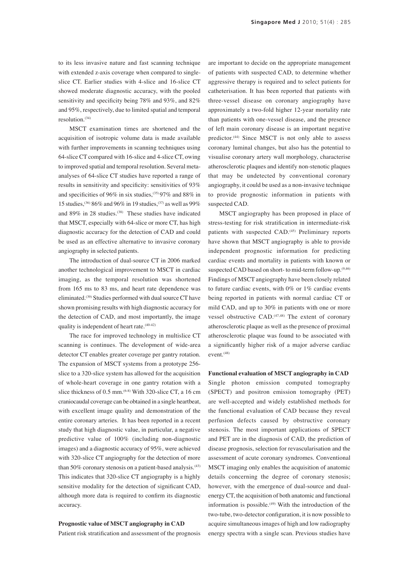to its less invasive nature and fast scanning technique with extended z-axis coverage when compared to singleslice CT. Earlier studies with 4-slice and 16-slice CT showed moderate diagnostic accuracy, with the pooled sensitivity and specificity being 78% and 93%, and 82% and 95%, respectively, due to limited spatial and temporal resolution.(34)

MSCT examination times are shortened and the acquisition of isotropic volume data is made available with further improvements in scanning techniques using 64-slice CT compared with 16-slice and 4-slice CT, owing to improved spatial and temporal resolution. Several metaanalyses of 64-slice CT studies have reported a range of results in sensitivity and specificity: sensitivities of 93% and specificities of 96% in six studies,(35) 97% and 88% in 15 studies,(36) 86% and 96% in 19 studies,(37) as well as 99% and 89% in 28 studies.<sup>(38)</sup> These studies have indicated that MSCT, especially with 64-slice or more CT, has high diagnostic accuracy for the detection of CAD and could be used as an effective alternative to invasive coronary angiography in selected patients.

The introduction of dual-source CT in 2006 marked another technological improvement to MSCT in cardiac imaging, as the temporal resolution was shortened from 165 ms to 83 ms, and heart rate dependence was eliminated.(39) Studies performed with dual source CT have shown promising results with high diagnostic accuracy for the detection of CAD, and most importantly, the image quality is independent of heart rate.<sup>(40-42)</sup>

The race for improved technology in multislice CT scanning is continues. The development of wide-area detector CT enables greater coverage per gantry rotation. The expansion of MSCT systems from a prototype 256 slice to a 320-slice system has allowed for the acquisition of whole-heart coverage in one gantry rotation with a slice thickness of 0.5 mm.<sup>(6-8)</sup> With 320-slice CT, a 16 cm craniocaudal coverage can be obtained in a single heartbeat, with excellent image quality and demonstration of the entire coronary arteries. It has been reported in a recent study that high diagnostic value, in particular, a negative predictive value of 100% (including non-diagnostic images) and a diagnostic accuracy of 95%, were achieved with 320-slice CT angiography for the detection of more than 50% coronary stenosis on a patient-based analysis.<sup>(43)</sup> This indicates that 320-slice CT angiography is a highly sensitive modality for the detection of significant CAD, although more data is required to confirm its diagnostic accuracy.

# **Prognostic value of MSCT angiography in CAD**

Patient risk stratification and assessment of the prognosis

are important to decide on the appropriate management of patients with suspected CAD, to determine whether aggressive therapy is required and to select patients for catheterisation. It has been reported that patients with three-vessel disease on coronary angiography have approximately a two-fold higher 12-year mortality rate than patients with one-vessel disease, and the presence of left main coronary disease is an important negative predictor.<sup>(44)</sup> Since MSCT is not only able to assess coronary luminal changes, but also has the potential to visualise coronary artery wall morphology, characterise atherosclerotic plaques and identify non-stenotic plaques that may be undetected by conventional coronary angiography, it could be used as a non-invasive technique to provide prognostic information in patients with suspected CAD.

MSCT angiography has been proposed in place of stress-testing for risk stratification in intermediate-risk patients with suspected CAD.<sup>(45)</sup> Preliminary reports have shown that MSCT angiography is able to provide independent prognostic information for predicting cardiac events and mortality in patients with known or suspected CAD based on short- to mid-term follow-up.<sup>(9,46)</sup> Findings of MSCT angiography have been closely related to future cardiac events, with 0% or 1% cardiac events being reported in patients with normal cardiac CT or mild CAD, and up to 30% in patients with one or more vessel obstructive CAD.<sup>(47,48)</sup> The extent of coronary atherosclerotic plaque as well as the presence of proximal atherosclerotic plaque was found to be associated with a significantly higher risk of a major adverse cardiac event.<sup>(48)</sup>

#### **Functional evaluation of MSCT angiography in CAD**

Single photon emission computed tomography (SPECT) and positron emission tomography (PET) are well-accepted and widely established methods for the functional evaluation of CAD because they reveal perfusion defects caused by obstructive coronary stenosis. The most important applications of SPECT and PET are in the diagnosis of CAD, the prediction of disease prognosis, selection for revascularisation and the assessment of acute coronary syndromes. Conventional MSCT imaging only enables the acquisition of anatomic details concerning the degree of coronary stenosis; however, with the emergence of dual-source and dualenergy CT, the acquisition of both anatomic and functional information is possible.<sup> $(49)$ </sup> With the introduction of the two-tube, two-detector configuration, it is now possible to acquire simultaneous images of high and low radiography energy spectra with a single scan. Previous studies have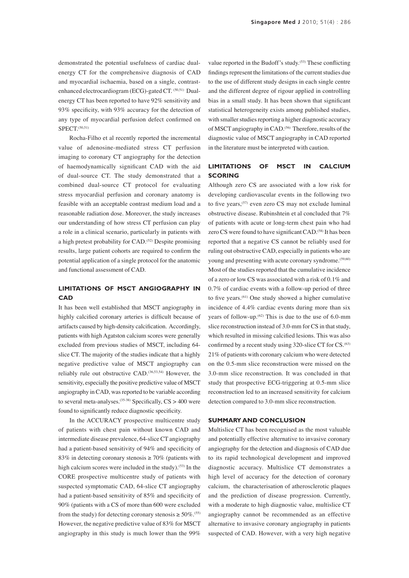demonstrated the potential usefulness of cardiac dualenergy CT for the comprehensive diagnosis of CAD and myocardial ischaemia, based on a single, contrastenhanced electrocardiogram (ECG)-gated CT. <sup>(50,51)</sup> Dualenergy CT has been reported to have 92% sensitivity and 93% specificity, with 93% accuracy for the detection of any type of myocardial perfusion defect confirmed on SPECT.(50,51)

Rocha-Filho et al recently reported the incremental value of adenosine-mediated stress CT perfusion imaging to coronary CT angiography for the detection of haemodynamically significant CAD with the aid of dual-source CT. The study demonstrated that a combined dual-source CT protocol for evaluating stress myocardial perfusion and coronary anatomy is feasible with an acceptable contrast medium load and a reasonable radiation dose. Moreover, the study increases our understanding of how stress CT perfusion can play a role in a clinical scenario, particularly in patients with a high pretest probability for CAD.(52) Despite promising results, large patient cohorts are required to confirm the potential application of a single protocol for the anatomic and functional assessment of CAD.

# **LIMITATIONS OF MSCT ANGIOGRAPHY IN CAD**

It has been well established that MSCT angiography in highly calcified coronary arteries is difficult because of artifacts caused by high-density calcification. Accordingly, patients with high Agatston calcium scores were generally excluded from previous studies of MSCT, including 64 slice CT. The majority of the studies indicate that a highly negative predictive value of MSCT angiography can reliably rule out obstructive CAD.(36,53,54) However, the sensitivity, especially the positive predictive value of MSCT angiography in CAD, was reported to be variable according to several meta-analyses.<sup>(35-38)</sup> Specifically,  $CS > 400$  were found to significantly reduce diagnostic specificity.

In the ACCURACY prospective multicentre study of patients with chest pain without known CAD and intermediate disease prevalence, 64-slice CT angiography had a patient-based sensitivity of 94% and specificity of 83% in detecting coronary stenosis  $\geq 70\%$  (patients with high calcium scores were included in the study).<sup>(53)</sup> In the CORE prospective multicentre study of patients with suspected symptomatic CAD, 64-slice CT angiography had a patient-based sensitivity of 85% and specificity of 90% (patients with a CS of more than 600 were excluded from the study) for detecting coronary stenosis  $\geq 50\%$ .<sup>(55)</sup> However, the negative predictive value of 83% for MSCT angiography in this study is much lower than the 99%

value reported in the Budoff's study.<sup>(53)</sup> These conflicting findings represent the limitations of the current studies due to the use of different study designs in each single centre and the different degree of rigour applied in controlling bias in a small study. It has been shown that significant statistical heterogeneity exists among published studies, with smaller studies reporting a higher diagnostic accuracy of MSCT angiography in CAD.<sup>(56)</sup> Therefore, results of the diagnostic value of MSCT angiography in CAD reported in the literature must be interpreted with caution.

## **LIMITATIONS OF MSCT IN CALCIUM SCORING**

Although zero CS are associated with a low risk for developing cardiovascular events in the following two to five years,(57) even zero CS may not exclude luminal obstructive disease. Rubinshtein et al concluded that 7% of patients with acute or long-term chest pain who had zero CS were found to have significant CAD.(58) It has been reported that a negative CS cannot be reliably used for ruling out obstructive CAD, especially in patients who are young and presenting with acute coronary syndrome.<sup>(59,60)</sup> Most of the studies reported that the cumulative incidence of a zero or low CS was associated with a risk of 0.1% and 0.7% of cardiac events with a follow-up period of three to five years.(61) One study showed a higher cumulative incidence of 4.4% cardiac events during more than six years of follow-up.(62) This is due to the use of 6.0-mm slice reconstruction instead of 3.0-mm for CS in that study, which resulted in missing calcified lesions. This was also confirmed by a recent study using 320-slice CT for  $CS$ .<sup> $(63)$ </sup> 21% of patients with coronary calcium who were detected on the 0.5-mm slice reconstruction were missed on the 3.0-mm slice reconstruction. It was concluded in that study that prospective ECG-triggering at 0.5-mm slice reconstruction led to an increased sensitivity for calcium detection compared to 3.0-mm slice reconstruction.

## **SUMMARY AND CONCLUSION**

Multislice CT has been recognised as the most valuable and potentially effective alternative to invasive coronary angiography for the detection and diagnosis of CAD due to its rapid technological development and improved diagnostic accuracy. Multislice CT demonstrates a high level of accuracy for the detection of coronary calcium, the characterisation of atherosclerotic plaques and the prediction of disease progression. Currently, with a moderate to high diagnostic value, multislice CT angiography cannot be recommended as an effective alternative to invasive coronary angiography in patients suspected of CAD. However, with a very high negative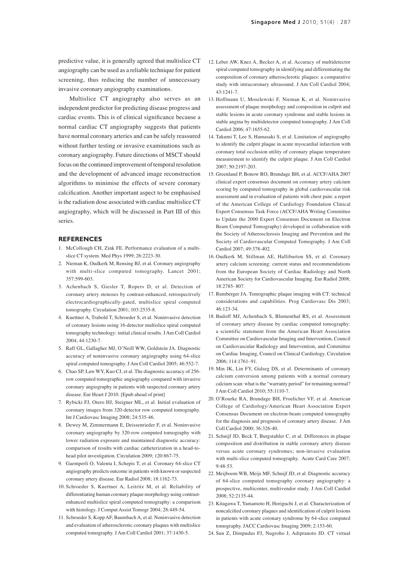predictive value, it is generally agreed that multislice CT angiography can be used as a reliable technique for patient screening, thus reducing the number of unnecessary invasive coronary angiography examinations.

Multislice CT angiography also serves as an independent predictor for predicting disease progress and cardiac events. This is of clinical significance because a normal cardiac CT angiography suggests that patients have normal coronary arteries and can be safely reassured without further testing or invasive examinations such as coronary angiography. Future directions of MSCT should focus on the continued improvement of temporal resolution and the development of advanced image reconstruction algorithms to minimise the effects of severe coronary calcification. Another important aspect to be emphasised is the radiation dose associated with cardiac multislice CT angiography, which will be discussed in Part III of this series.

### **REFERENCES**

- 1. McCollough CH, Zink FE. Performance evaluation of a multislice CT system. Med Phys 1999; 26:2223-30.
- 2. Nieman K, Oudkerk M, Rensing BJ, et al. Coronary angiography with multi-slice computed tomography. Lancet 2001; 357:599-603.
- 3. Achenbach S, Giesler T, Ropers D, et al. Detection of coronary artery stenoses by contrast-enhanced, retrospectively electrocardiographically-gated, multislice spiral computed tomography. Circulation 2001; 103:2535-8.
- 4. Kuettner A, Trabold T, Schroeder S, et al. Noninvasive detection of coronary lesions using 16-detector multislice spiral computed tomography technology: initial clinical results. J Am Coll Cardiol 2004; 44:1230-7.
- 5. Raff GL, Gallagher MJ, O'Neill WW, Goldstein JA. Diagnostic accuracy of noninvasive coronary angiography using 64-slice spiral computed tomography. J Am Coll Cardiol 2005; 46:552-7.
- 6. Chao SP, Law WY, Kuo CJ, et al. The diagnostic accuracy of 256 row computed tomographic angiography compared with invasive coronary angiography in patients with suspected coronary artery disease. Eur Heart J 2010. [Epub ahead of print]
- 7. Rybicki FJ, Otero HJ, Steigner ML, et al. Initial evaluation of coronary images from 320-detector row computed tomography. Int J Cardiovasc Imaging 2008; 24:535-46.
- 8. Dewey M, Zimmermann E, Deissenrieder F, et al. Noninvasive coronary angiography by 320-row computed tomography with lower radiation exposure and maintained diagnostic accuracy: comparison of results with cardiac catheterization in a head-tohead pilot investigation. Circulation 2009; 120:867-75.
- 9. Gaemperli O, Valenta I, Schepis T, et al. Coronary 64-slice CT angiography predicts outcome in patients with known or suspected coronary artery disease. Eur Radiol 2008; 18:1162-73.
- 10. Schroeder S, Kuettner A, Leitritz M, et al. Reliability of differentiating human coronary plaque morphology using contrastenhanced multislice spiral computed tomography: a comparison with histology. J Comput Assist Tomogr 2004; 28:449-54.
- 11. Schroeder S, Kopp AF, Baumbach A, et al. Noninvasive detection and evaluation of atherosclerotic coronary plaques with multislice computed tomography. J Am Coll Cardiol 2001; 37:1430-5.
- 12. Leber AW, Knez A, Becker A, et al. Accuracy of multidetector spiral computed tomography in identifying and differentiating the composition of coronary atherosclerotic plaques: a comparative study with intracoronary ultrasound. J Am Coll Cardiol 2004; 43:1241-7.
- 13. Hoffmann U, Moselewski F, Nieman K, et al. Noninvasive assessment of plaque morphology and composition in culprit and stable lesions in acute coronary syndrome and stable lesions in stable angina by multidetector computed tomography. J Am Coll Cardiol 2006; 47:1655-62.
- 14. Takumi T, Lee S, Hamasaki S, et al. Limitation of angiography to identify the culprit plaque in acute myocardial infarction with coronary total occlusion utility of coronary plaque temperature measurement to identify the culprit plaque. J Am Coll Cardiol  $2007:50:2197-203$ .
- 15. Greenland P, Bonow RO, Brundage BH, et al. ACCF/AHA 2007 clinical expert consensus document on coronary artery calcium scoring by computed tomography in global cardiovascular risk assessment and in evaluation of patients with chest pain: a report of the American College of Cardiology Foundation Clinical Expert Consensus Task Force (ACCF/AHA Writing Committee to Update the 2000 Expert Consensus Document on Electron Beam Computed Tomography) developed in collaboration with the Society of Atherosclerosis Imaging and Prevention and the Society of Cardiovascular Computed Tomography. J Am Coll Cardiol 2007; 49:378-402.
- 16. Oudkerk M, Stillman AE, Halliburton SS, et al. Coronary artery calcium screening: current status and recommendations from the European Society of Cardiac Radiology and North American Society for Cardiovascular Imaging. Eur Radiol 2008; 18:2785- 807.
- 17. Rumberger JA. Tomographic plaque imaging with CT: technical considerations and capabilities. Prog Cardiovasc Dis 2003; 46:123-34.
- 18. Budoff MJ, Achenbach S, Blumenthal RS, et al. Assessment of coronary artery disease by cardiac computed tomography: a scientific statement from the American Heart Association Committee on Cardiovascular Imaging and Intervention, Council on Cardiovascular Radiology and Intervention, and Committee on Cardiac Imaging, Council on Clinical Cardiology. Circulation 2006; 114:1761–91.
- 19. Min JK, Lin FY, Gidseg DS, et al. Determinants of coronary calcium conversion among patients with a normal coronary calcium scan: what is the "warranty period" for remaining normal? J Am Coll Cardiol 2010; 55:1110-7.
- 20. O'Rourke RA, Brundage BH, Froelicher VF, et al. American College of Cardiology/American Heart Association Expert Consensus Document on electron-beam computed tomography for the diagnosis and prognosis of coronary artery disease. J Am Coll Cardiol 2000; 36:326-40.
- 21. Schuijf JD, Beck T, Burgstahler C, et al. Differences in plaque composition and distribution in stable coronary artery disease versus acute coronary syndromes; non-invasive evaluation with multi-slice computed tomography. Acute Card Care 2007; 9:48-53.
- 22. Meijboom WB, Meijs MF, Schuijf JD, et al. Diagnostic accuracy of 64-slice computed tomography coronary angiography: a prospective, multicenter, multivendor study. J Am Coll Cardiol 2008; 52:2135-44.
- 23. Kitagawa T, Yamamoto H, Horiguchi J, et al. Characterization of noncalcified coronary plaques and identification of culprit lesions in patients with acute coronary syndrome by 64-slice computed tomography. JACC Cardiovasc Imaging 2009; 2:153-60.
- 24. Sun Z, Dimpudus FJ, Nugroho J, Adipranoto JD. CT virtual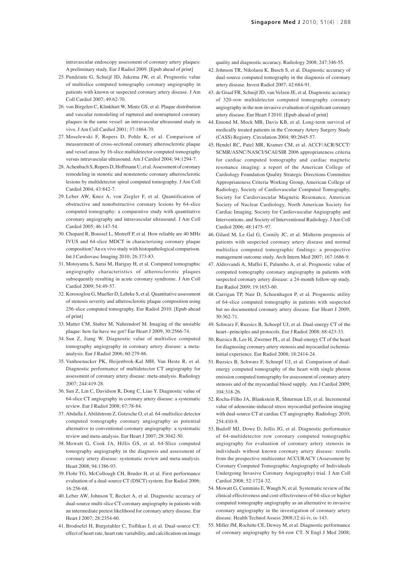intravascular endoscopy assessment of coronary artery plaques: A preliminary study. Eur J Radiol 2009. [Epub ahead of print]

- 25. Pundziute G, Schuijf JD, Jukema JW, et al. Prognostic value of multislice computed tomography coronary angiography in patients with known or suspected coronary artery disease. J Am Coll Cardiol 2007; 49:62-70.
- 26. von Birgelen C, Klinkhart W, Mintz GS, et al. Plaque distribution and vascular remodeling of ruptured and nonruptured coronary plaques in the same vessel: an intravascular ultrasound study in vivo. J Am Coll Cardiol 2001; 37:1864-70.
- 27. Moselewski F, Ropers D, Pohle K, et al. Comparison of measurement of cross-sectional coronary atherosclerotic plaque and vessel areas by 16-slice multidetector computed tomography versus intravascular ultrasound. Am J Cardiol 2004; 94:1294-7.
- 28. Achenbach S, Ropers D, Hoffmann U, et al. Assessment of coronary remodeling in stenotic and nonstenotic coronary atherosclerotic lesions by multidetector spiral computed tomography. J Am Coll Cardiol 2004; 43:842-7.
- 29. Leber AW, Knez A, von Ziegler F, et al. Quantification of obstructive and nonobstructive coronary lesions by 64-slice computed tomography: a comparative study with quantitative coronary angiography and intravascular ultrasound. J Am Coll Cardiol 2005; 46:147-54.
- 30. Chopard R, Boussel L, Motreff P, et al. How reliable are 40 MHz IVUS and 64-slice MDCT in characterizing coronary plaque composition? An ex vivo study with histopathological comparison. Int J Cardiovasc Imaging 2010; 26:373-83.
- 31. Motoyama S, Sarai M, Harigay H, et al. Computed tomographic angiography characteristics of atherosclerotic plaques subsequently resulting in acute coronary syndrome. J Am Coll Cardiol 2009; 54:49-57.
- 32. Korosoglou G, Mueller D, Lehrke S, et al. Quantitative assessment of stenosis severity and atherosclerotic plaque composition using 256-slice computed tomography. Eur Radiol 2010. [Epub ahead of print]
- 33. Matter CM, Stuber M, Nahrendorf M. Imaging of the unstable plaque: how far have we got? Eur Heart J 2009; 30:2566-74.
- 34. Sun Z, Jiang W. Diagnostic value of multislice computed tomography angiography in coronary artery disease: a metaanalysis. Eur J Radiol 2006; 60:279-86.
- 35. Vanhoenacker PK, Heijenbrok-Kal MH, Van Heste R, et al. Diagnostic performance of multidetector CT angiography for assessment of coronary artery disease: meta-analysis. Radiology 2007; 244:419-28.
- 36. Sun Z, Lin C, Davidson R, Dong C, Liao Y. Diagnostic value of 64-slice CT angiography in coronary artery disease: a systematic review. Eur J Radiol 2008; 67:78-84.
- 37. Abdulla J, Abildstrom Z, Gotzsche O, et al. 64-multislice detector computed tomography coronary angiography as potential alternative to conventional coronary angiography: a systematic review and meta-analysis. Eur Heart J 2007; 28:3042-50.
- 38. Mowatt G, Cook JA, Hillis GS, et al. 64-Slice computed tomography angiography in the diagnosis and assessment of coronary artery disease: systematic review and meta-analysis. Heart 2008; 94:1386-93.
- 39. Flohr TG, McCollough CH, Bruder H, et al. First performance evaluation of a dual-source CT (DSCT) system. Eur Radiol 2006; 16:256-68.
- 40. Leber AW, Johnson T, Becker A, et al. Diagnostic accuracy of dual-source multi-slice CT-coronary angiography in patients with an intermediate pretest likelihood for coronary artery disease. Eur Heart J 2007; 28:2354-60.
- 41. Brodoefel H, Burgstahler C, Tsiflikas I, et al. Dual-source CT: effect of heart rate, heart rate variability, and calcification on image

quality and diagnostic accuracy. Radiology 2008; 247:346-55.

- 42. Johnson TR, Nikolaou K, Busch S, et al. Diagnostic accuracy of dual-source computed tomography in the diagnosis of coronary artery disease. Invest Radiol 2007; 42:684-91.
- 43. de Graaf FR, Schuijf JD, van Velzen JE, et al. Diagnostic accuracy of 320-row multidetector computed tomography coronary angiography in the non-invasive evaluation of significant coronary artery disease. Eur Heart J 2010. [Epub ahead of print]
- 44. Emond M, Mock MB, Davis KB, et al. Long-term survival of medically treated patients in the Coronary Artery Surgery Study (CASS) Registry. Circulation 2004; 90:2645-57.
- 45. Hendel RC, Patel MR, Kramer CM, et al. ACCF/ACR/SCCT/ SCMR/ASNC/NASCI/SCAI/SIR 2006 appropriateness criteria for cardiac computed tomography and cardiac magnetic resonance imaging: a report of the American College of Cardiology Foundation Quality Strategic Directions Committee Appropriateness Criteria Working Group, American College of Radiology, Society of Cardiovascular Computed Tomography, Society for Cardiovascular Magnetic Resonance, American Society of Nuclear Cardiology, North American Society for Cardiac Imaging, Society for Cardiovascular Angiography and Interventions, and Society of Interventional Radiology. J Am Coll Cardiol 2006; 48:1475–97.
- 46. Gilard M, Le Gal G, Cornily JC, et al. Midterm prognosis of patients with suspected coronary artery disease and normal multislice computed tomographic findings: a prospective management outcome study. Arch Intern Med 2007; 167:1686-9.
- 47. Aldrovandi A, Maffei E, Palumbo A, et al. Prognostic value of computed tomography coronary angiography in patients with suspected coronary artery disease: a 24-month follow-up study. Eur Radiol 2009; 19:1653-60.
- 48. Carrigan TP, Nair D, Schoenhagen P, et al. Prognostic utility of 64-slice computed tomography in patients with suspected but no documented coronary artery disease. Eur Heart J 2009; 30:362-71.
- 49. Schwarz F, Ruzsics B, Schoepf UJ, et al. Dual-energy CT of the heart--principles and protocols. Eur J Radiol 2008; 68:423-33.
- 50. Ruzsics B, Lee H, Zwerner PL, et al. Dual-energy CT of the heart for diagnosing coronary artery stenosis and myocardial ischemiainitial experience. Eur Radiol 2008; 18:2414-24.
- 51. Ruzsics B, Schwarz F, Schoepf UJ, et al. Comparison of dualenergy computed tomography of the heart with single photon emission computed tomography for assessment of coronary artery stenosis and of the myocardial blood supply. Am J Cardiol 2009; 104:318-26.
- 52. Rocha-Filho JA, Blankstein R, Shturman LD, et al. Incremental value of adenosine-induced stress myocardial perfusion imaging with dual-source CT at cardiac CT angiography. Radiology 2010; 254:410-9.
- 53. Budoff MJ, Dowe D, Jollis JG, et al. Diagnostic performance of 64-multidetector row coronary computed tomographic angiography for evaluation of coronary artery stenosis in individuals without known coronary artery disease: results from the prospective multicenter ACCURACY (Assessment by Coronary Computed Tomographic Angiography of Individuals Undergoing Invasive Coronary Angiography) trial. J Am Coll Cardiol 2008; 52:1724-32.
- 54. Mowatt G, Cummins E, Waugh N, et al. Systematic review of the clinical effectiveness and cost-effectiveness of 64-slice or higher computed tomography angiography as an alternative to invasive coronary angiography in the investigation of coronary artery disease. Health Technol Assess 2008;12:iii-iv, ix-143.
- 55. Miller JM, Rochitte CE, Dewey M, et al. Diagnostic performance of coronary angiography by 64-row CT. N Engl J Med 2008;